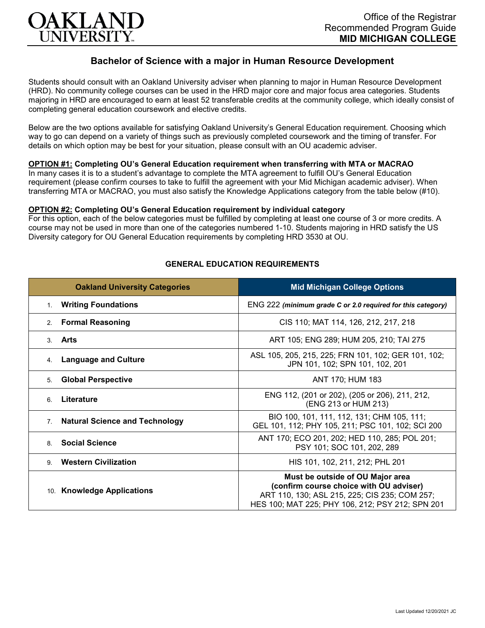

# **Bachelor of Science with a major in Human Resource Development**

Students should consult with an Oakland University adviser when planning to major in Human Resource Development (HRD). No community college courses can be used in the HRD major core and major focus area categories. Students majoring in HRD are encouraged to earn at least 52 transferable credits at the community college, which ideally consist of completing general education coursework and elective credits.

Below are the two options available for satisfying Oakland University's General Education requirement. Choosing which way to go can depend on a variety of things such as previously completed coursework and the timing of transfer. For details on which option may be best for your situation, please consult with an OU academic adviser.

### **OPTION #1: Completing OU's General Education requirement when transferring with MTA or MACRAO**

In many cases it is to a student's advantage to complete the MTA agreement to fulfill OU's General Education requirement (please confirm courses to take to fulfill the agreement with your Mid Michigan academic adviser). When transferring MTA or MACRAO, you must also satisfy the Knowledge Applications category from the table below (#10).

#### **OPTION #2: Completing OU's General Education requirement by individual category**

For this option, each of the below categories must be fulfilled by completing at least one course of 3 or more credits. A course may not be used in more than one of the categories numbered 1-10. Students majoring in HRD satisfy the US Diversity category for OU General Education requirements by completing HRD 3530 at OU.

| <b>Oakland University Categories</b>                    | <b>Mid Michigan College Options</b>                                                                                                                                              |
|---------------------------------------------------------|----------------------------------------------------------------------------------------------------------------------------------------------------------------------------------|
| <b>Writing Foundations</b><br>1 <sup>1</sup>            | ENG 222 (minimum grade C or 2.0 required for this category)                                                                                                                      |
| <b>Formal Reasoning</b><br>2.                           | CIS 110; MAT 114, 126, 212, 217, 218                                                                                                                                             |
| Arts<br>$\mathbf{3}$                                    | ART 105; ENG 289; HUM 205, 210; TAI 275                                                                                                                                          |
| <b>Language and Culture</b><br>4.                       | ASL 105, 205, 215, 225; FRN 101, 102; GER 101, 102;<br>JPN 101, 102; SPN 101, 102, 201                                                                                           |
| <b>Global Perspective</b><br>5.                         | ANT 170; HUM 183                                                                                                                                                                 |
| Literature<br>6                                         | ENG 112, (201 or 202), (205 or 206), 211, 212,<br>(ENG 213 or HUM 213)                                                                                                           |
| <b>Natural Science and Technology</b><br>7 <sub>1</sub> | BIO 100, 101, 111, 112, 131; CHM 105, 111;<br>GEL 101, 112; PHY 105, 211; PSC 101, 102; SCI 200                                                                                  |
| <b>Social Science</b><br>8                              | ANT 170; ECO 201, 202; HED 110, 285; POL 201;<br>PSY 101; SOC 101, 202, 289                                                                                                      |
| <b>Western Civilization</b><br>9                        | HIS 101, 102, 211, 212; PHL 201                                                                                                                                                  |
| 10. Knowledge Applications                              | Must be outside of OU Major area<br>(confirm course choice with OU adviser)<br>ART 110, 130; ASL 215, 225; CIS 235; COM 257;<br>HES 100; MAT 225; PHY 106, 212; PSY 212; SPN 201 |

#### **GENERAL EDUCATION REQUIREMENTS**